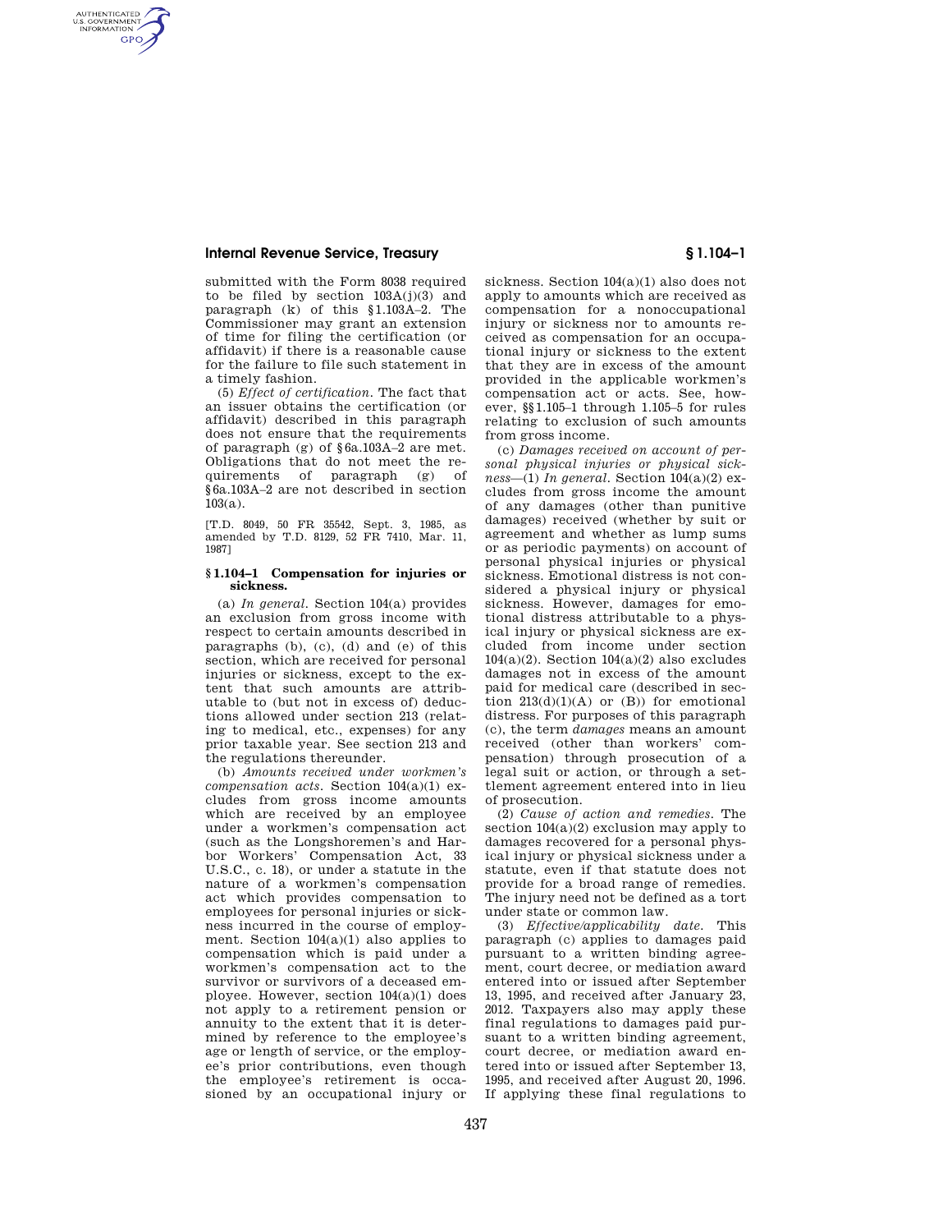# **Internal Revenue Service, Treasury § 1.104–1**

AUTHENTICATED<br>U.S. GOVERNMENT<br>INFORMATION **GPO** 

> submitted with the Form 8038 required to be filed by section  $103A(j)(3)$  and paragraph (k) of this §1.103A–2. The Commissioner may grant an extension of time for filing the certification (or affidavit) if there is a reasonable cause for the failure to file such statement in a timely fashion.

> (5) *Effect of certification.* The fact that an issuer obtains the certification (or affidavit) described in this paragraph does not ensure that the requirements of paragraph (g) of §6a.103A–2 are met. Obligations that do not meet the requirements of paragraph (g) of §6a.103A–2 are not described in section 103(a).

> [T.D. 8049, 50 FR 35542, Sept. 3, 1985, as amended by T.D. 8129, 52 FR 7410, Mar. 11, 1987]

### **§ 1.104–1 Compensation for injuries or sickness.**

(a) *In general.* Section 104(a) provides an exclusion from gross income with respect to certain amounts described in paragraphs (b), (c), (d) and (e) of this section, which are received for personal injuries or sickness, except to the extent that such amounts are attributable to (but not in excess of) deductions allowed under section 213 (relating to medical, etc., expenses) for any prior taxable year. See section 213 and the regulations thereunder.

(b) *Amounts received under workmen's compensation acts.* Section 104(a)(1) excludes from gross income amounts which are received by an employee under a workmen's compensation act (such as the Longshoremen's and Harbor Workers' Compensation Act, 33 U.S.C., c. 18), or under a statute in the nature of a workmen's compensation act which provides compensation to employees for personal injuries or sickness incurred in the course of employment. Section  $104(a)(1)$  also applies to compensation which is paid under a workmen's compensation act to the survivor or survivors of a deceased employee. However, section 104(a)(1) does not apply to a retirement pension or annuity to the extent that it is determined by reference to the employee's age or length of service, or the employee's prior contributions, even though the employee's retirement is occasioned by an occupational injury or

sickness. Section 104(a)(1) also does not apply to amounts which are received as compensation for a nonoccupational injury or sickness nor to amounts received as compensation for an occupational injury or sickness to the extent that they are in excess of the amount provided in the applicable workmen's compensation act or acts. See, however, §§1.105–1 through 1.105–5 for rules relating to exclusion of such amounts from gross income.

(c) *Damages received on account of personal physical injuries or physical sickness*—(1) *In general.* Section 104(a)(2) excludes from gross income the amount of any damages (other than punitive damages) received (whether by suit or agreement and whether as lump sums or as periodic payments) on account of personal physical injuries or physical sickness. Emotional distress is not considered a physical injury or physical sickness. However, damages for emotional distress attributable to a physical injury or physical sickness are excluded from income under section  $104(a)(2)$ . Section  $104(a)(2)$  also excludes damages not in excess of the amount paid for medical care (described in section  $213(d)(1)(A)$  or  $(B)$ ) for emotional distress. For purposes of this paragraph (c), the term *damages* means an amount received (other than workers' compensation) through prosecution of a legal suit or action, or through a settlement agreement entered into in lieu of prosecution.

(2) *Cause of action and remedies.* The section  $104(a)(2)$  exclusion may apply to damages recovered for a personal physical injury or physical sickness under a statute, even if that statute does not provide for a broad range of remedies. The injury need not be defined as a tort under state or common law.

(3) *Effective/applicability date.* This paragraph (c) applies to damages paid pursuant to a written binding agreement, court decree, or mediation award entered into or issued after September 13, 1995, and received after January 23, 2012. Taxpayers also may apply these final regulations to damages paid pursuant to a written binding agreement, court decree, or mediation award entered into or issued after September 13, 1995, and received after August 20, 1996. If applying these final regulations to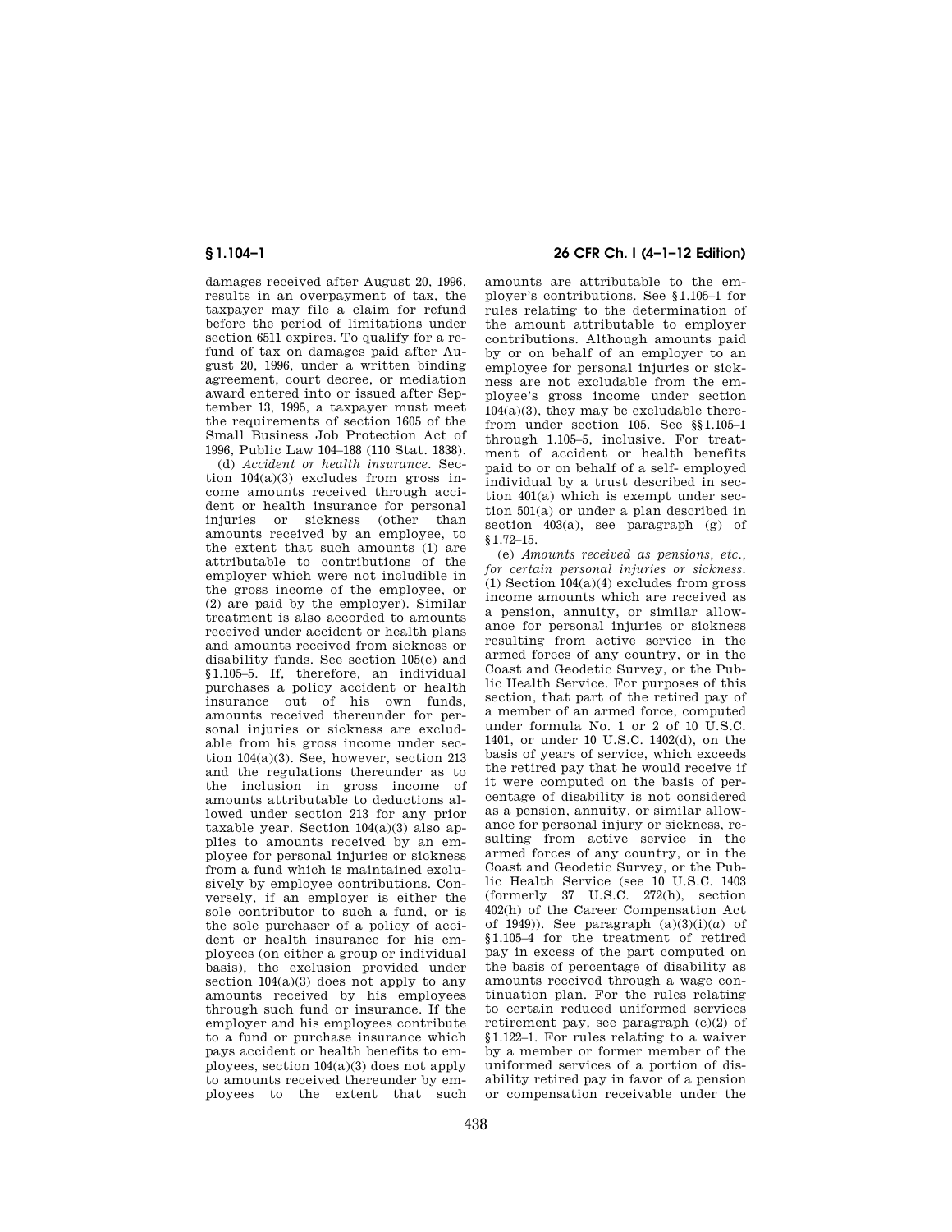damages received after August 20, 1996, results in an overpayment of tax, the taxpayer may file a claim for refund before the period of limitations under section 6511 expires. To qualify for a refund of tax on damages paid after August 20, 1996, under a written binding agreement, court decree, or mediation award entered into or issued after September 13, 1995, a taxpayer must meet the requirements of section 1605 of the Small Business Job Protection Act of 1996, Public Law 104–188 (110 Stat. 1838).

(d) *Accident or health insurance.* Section 104(a)(3) excludes from gross income amounts received through accident or health insurance for personal injuries or sickness (other than amounts received by an employee, to the extent that such amounts (1) are attributable to contributions of the employer which were not includible in the gross income of the employee, or (2) are paid by the employer). Similar treatment is also accorded to amounts received under accident or health plans and amounts received from sickness or disability funds. See section 105(e) and §1.105–5. If, therefore, an individual purchases a policy accident or health insurance out of his own funds, amounts received thereunder for personal injuries or sickness are excludable from his gross income under section 104(a)(3). See, however, section 213 and the regulations thereunder as to the inclusion in gross income of amounts attributable to deductions allowed under section 213 for any prior taxable year. Section  $104(a)(3)$  also applies to amounts received by an employee for personal injuries or sickness from a fund which is maintained exclusively by employee contributions. Conversely, if an employer is either the sole contributor to such a fund, or is the sole purchaser of a policy of accident or health insurance for his employees (on either a group or individual basis), the exclusion provided under section  $104(a)(3)$  does not apply to any amounts received by his employees through such fund or insurance. If the employer and his employees contribute to a fund or purchase insurance which pays accident or health benefits to employees, section 104(a)(3) does not apply to amounts received thereunder by employees to the extent that such

# **§ 1.104–1 26 CFR Ch. I (4–1–12 Edition)**

amounts are attributable to the employer's contributions. See §1.105–1 for rules relating to the determination of the amount attributable to employer contributions. Although amounts paid by or on behalf of an employer to an employee for personal injuries or sickness are not excludable from the employee's gross income under section  $104(a)(3)$ , they may be excludable therefrom under section 105. See §§1.105–1 through 1.105–5, inclusive. For treatment of accident or health benefits paid to or on behalf of a self- employed individual by a trust described in section 401(a) which is exempt under section 501(a) or under a plan described in section 403(a), see paragraph (g) of §1.72–15.

(e) *Amounts received as pensions, etc., for certain personal injuries or sickness.*   $(1)$  Section  $104(a)(4)$  excludes from gross income amounts which are received as a pension, annuity, or similar allowance for personal injuries or sickness resulting from active service in the armed forces of any country, or in the Coast and Geodetic Survey, or the Public Health Service. For purposes of this section, that part of the retired pay of a member of an armed force, computed under formula No. 1 or 2 of 10 U.S.C. 1401, or under 10 U.S.C. 1402(d), on the basis of years of service, which exceeds the retired pay that he would receive if it were computed on the basis of percentage of disability is not considered as a pension, annuity, or similar allowance for personal injury or sickness, resulting from active service in the armed forces of any country, or in the Coast and Geodetic Survey, or the Public Health Service (see 10 U.S.C. 1403 (formerly 37 U.S.C. 272(h), section 402(h) of the Career Compensation Act of 1949)). See paragraph  $(a)(3)(i)(a)$  of §1.105–4 for the treatment of retired pay in excess of the part computed on the basis of percentage of disability as amounts received through a wage continuation plan. For the rules relating to certain reduced uniformed services retirement pay, see paragraph (c)(2) of §1.122–1. For rules relating to a waiver by a member or former member of the uniformed services of a portion of disability retired pay in favor of a pension or compensation receivable under the